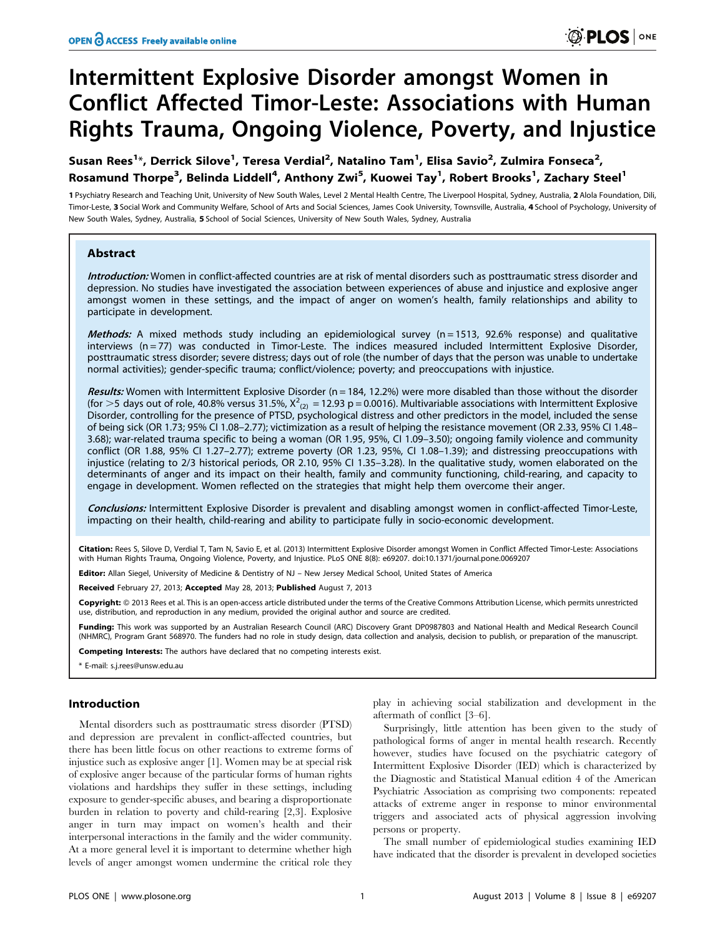# Intermittent Explosive Disorder amongst Women in Conflict Affected Timor-Leste: Associations with Human Rights Trauma, Ongoing Violence, Poverty, and Injustice

Susan Rees<sup>1\*</sup>, Derrick Silove<sup>1</sup>, Teresa Verdial<sup>2</sup>, Natalino Tam<sup>1</sup>, Elisa Savio<sup>2</sup>, Zulmira Fonseca<sup>2</sup>, Rosamund Thorpe<sup>3</sup>, Belinda Liddell<sup>4</sup>, Anthony Zwi<sup>5</sup>, Kuowei Tay<sup>1</sup>, Robert Brooks<sup>1</sup>, Zachary Steel<sup>1</sup>

1 Psychiatry Research and Teaching Unit, University of New South Wales, Level 2 Mental Health Centre, The Liverpool Hospital, Sydney, Australia, 2 Alola Foundation, Dili, Timor-Leste, 3 Social Work and Community Welfare, School of Arts and Social Sciences, James Cook University, Townsville, Australia, 4 School of Psychology, University of New South Wales, Sydney, Australia, 5 School of Social Sciences, University of New South Wales, Sydney, Australia

## Abstract

Introduction: Women in conflict-affected countries are at risk of mental disorders such as posttraumatic stress disorder and depression. No studies have investigated the association between experiences of abuse and injustice and explosive anger amongst women in these settings, and the impact of anger on women's health, family relationships and ability to participate in development.

Methods: A mixed methods study including an epidemiological survey (n = 1513, 92.6% response) and qualitative interviews (n = 77) was conducted in Timor-Leste. The indices measured included Intermittent Explosive Disorder, posttraumatic stress disorder; severe distress; days out of role (the number of days that the person was unable to undertake normal activities); gender-specific trauma; conflict/violence; poverty; and preoccupations with injustice.

Results: Women with Intermittent Explosive Disorder (n = 184, 12.2%) were more disabled than those without the disorder (for  $>$ 5 days out of role, 40.8% versus 31.5%, X<sup>2</sup><sub>(2)</sub> = 12.93 p = 0.0016). Multivariable associations with Intermittent Explosive Disorder, controlling for the presence of PTSD, psychological distress and other predictors in the model, included the sense of being sick (OR 1.73; 95% CI 1.08–2.77); victimization as a result of helping the resistance movement (OR 2.33, 95% CI 1.48– 3.68); war-related trauma specific to being a woman (OR 1.95, 95%, CI 1.09–3.50); ongoing family violence and community conflict (OR 1.88, 95% CI 1.27–2.77); extreme poverty (OR 1.23, 95%, CI 1.08–1.39); and distressing preoccupations with injustice (relating to 2/3 historical periods, OR 2.10, 95% CI 1.35–3.28). In the qualitative study, women elaborated on the determinants of anger and its impact on their health, family and community functioning, child-rearing, and capacity to engage in development. Women reflected on the strategies that might help them overcome their anger.

Conclusions: Intermittent Explosive Disorder is prevalent and disabling amongst women in conflict-affected Timor-Leste, impacting on their health, child-rearing and ability to participate fully in socio-economic development.

Citation: Rees S, Silove D, Verdial T, Tam N, Savio E, et al. (2013) Intermittent Explosive Disorder amongst Women in Conflict Affected Timor-Leste: Associations with Human Rights Trauma, Ongoing Violence, Poverty, and Injustice. PLoS ONE 8(8): e69207. doi:10.1371/journal.pone.0069207

Editor: Allan Siegel, University of Medicine & Dentistry of NJ – New Jersey Medical School, United States of America

Received February 27, 2013; Accepted May 28, 2013; Published August 7, 2013

Copyright: © 2013 Rees et al. This is an open-access article distributed under the terms of the Creative Commons Attribution License, which permits unrestricted use, distribution, and reproduction in any medium, provided the original author and source are credited.

Funding: This work was supported by an Australian Research Council (ARC) Discovery Grant DP0987803 and National Health and Medical Research Council (NHMRC), Program Grant 568970. The funders had no role in study design, data collection and analysis, decision to publish, or preparation of the manuscript.

Competing Interests: The authors have declared that no competing interests exist.

\* E-mail: s.j.rees@unsw.edu.au

### Introduction

Mental disorders such as posttraumatic stress disorder (PTSD) and depression are prevalent in conflict-affected countries, but there has been little focus on other reactions to extreme forms of injustice such as explosive anger [1]. Women may be at special risk of explosive anger because of the particular forms of human rights violations and hardships they suffer in these settings, including exposure to gender-specific abuses, and bearing a disproportionate burden in relation to poverty and child-rearing [2,3]. Explosive anger in turn may impact on women's health and their interpersonal interactions in the family and the wider community. At a more general level it is important to determine whether high levels of anger amongst women undermine the critical role they

play in achieving social stabilization and development in the aftermath of conflict [3–6].

Surprisingly, little attention has been given to the study of pathological forms of anger in mental health research. Recently however, studies have focused on the psychiatric category of Intermittent Explosive Disorder (IED) which is characterized by the Diagnostic and Statistical Manual edition 4 of the American Psychiatric Association as comprising two components: repeated attacks of extreme anger in response to minor environmental triggers and associated acts of physical aggression involving persons or property.

The small number of epidemiological studies examining IED have indicated that the disorder is prevalent in developed societies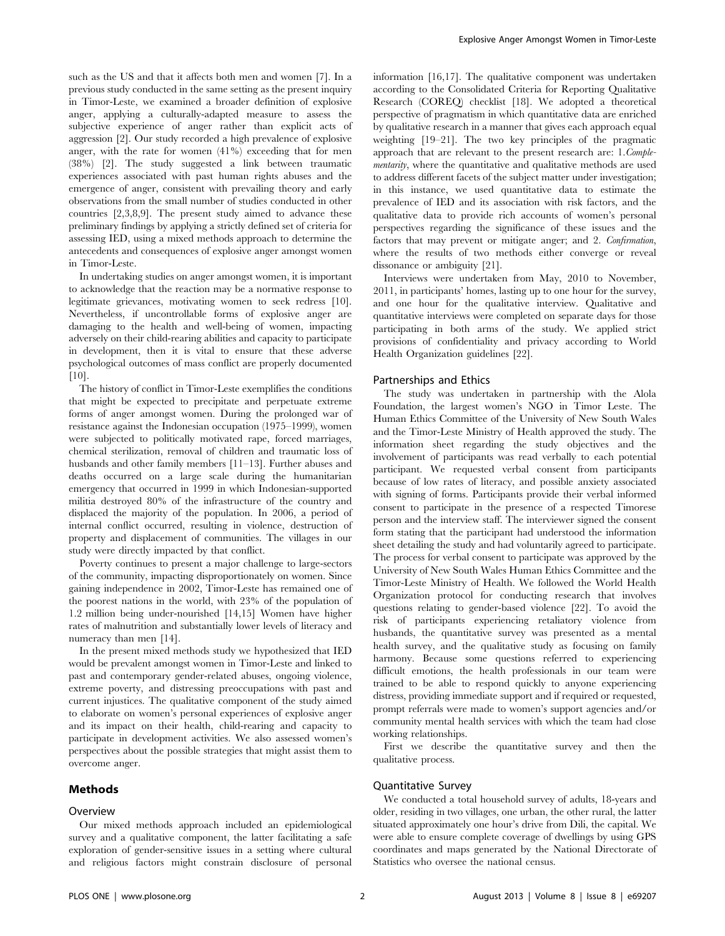such as the US and that it affects both men and women [7]. In a previous study conducted in the same setting as the present inquiry in Timor-Leste, we examined a broader definition of explosive anger, applying a culturally-adapted measure to assess the subjective experience of anger rather than explicit acts of aggression [2]. Our study recorded a high prevalence of explosive anger, with the rate for women (41%) exceeding that for men (38%) [2]. The study suggested a link between traumatic experiences associated with past human rights abuses and the emergence of anger, consistent with prevailing theory and early observations from the small number of studies conducted in other countries [2,3,8,9]. The present study aimed to advance these preliminary findings by applying a strictly defined set of criteria for assessing IED, using a mixed methods approach to determine the antecedents and consequences of explosive anger amongst women in Timor-Leste.

In undertaking studies on anger amongst women, it is important to acknowledge that the reaction may be a normative response to legitimate grievances, motivating women to seek redress [10]. Nevertheless, if uncontrollable forms of explosive anger are damaging to the health and well-being of women, impacting adversely on their child-rearing abilities and capacity to participate in development, then it is vital to ensure that these adverse psychological outcomes of mass conflict are properly documented [10].

The history of conflict in Timor-Leste exemplifies the conditions that might be expected to precipitate and perpetuate extreme forms of anger amongst women. During the prolonged war of resistance against the Indonesian occupation (1975–1999), women were subjected to politically motivated rape, forced marriages, chemical sterilization, removal of children and traumatic loss of husbands and other family members [11–13]. Further abuses and deaths occurred on a large scale during the humanitarian emergency that occurred in 1999 in which Indonesian-supported militia destroyed 80% of the infrastructure of the country and displaced the majority of the population. In 2006, a period of internal conflict occurred, resulting in violence, destruction of property and displacement of communities. The villages in our study were directly impacted by that conflict.

Poverty continues to present a major challenge to large-sectors of the community, impacting disproportionately on women. Since gaining independence in 2002, Timor-Leste has remained one of the poorest nations in the world, with 23% of the population of 1.2 million being under-nourished [14,15] Women have higher rates of malnutrition and substantially lower levels of literacy and numeracy than men [14].

In the present mixed methods study we hypothesized that IED would be prevalent amongst women in Timor-Leste and linked to past and contemporary gender-related abuses, ongoing violence, extreme poverty, and distressing preoccupations with past and current injustices. The qualitative component of the study aimed to elaborate on women's personal experiences of explosive anger and its impact on their health, child-rearing and capacity to participate in development activities. We also assessed women's perspectives about the possible strategies that might assist them to overcome anger.

# Methods

### Overview

Explosive Anger Amongst Women in Timor-Leste

information [16,17]. The qualitative component was undertaken according to the Consolidated Criteria for Reporting Qualitative Research (COREQ) checklist [18]. We adopted a theoretical perspective of pragmatism in which quantitative data are enriched by qualitative research in a manner that gives each approach equal weighting [19–21]. The two key principles of the pragmatic approach that are relevant to the present research are: 1.Complementarity, where the quantitative and qualitative methods are used to address different facets of the subject matter under investigation; in this instance, we used quantitative data to estimate the prevalence of IED and its association with risk factors, and the qualitative data to provide rich accounts of women's personal perspectives regarding the significance of these issues and the factors that may prevent or mitigate anger; and 2. Confirmation, where the results of two methods either converge or reveal dissonance or ambiguity [21].

Interviews were undertaken from May, 2010 to November, 2011, in participants' homes, lasting up to one hour for the survey, and one hour for the qualitative interview. Qualitative and quantitative interviews were completed on separate days for those participating in both arms of the study. We applied strict provisions of confidentiality and privacy according to World Health Organization guidelines [22].

#### Partnerships and Ethics

The study was undertaken in partnership with the Alola Foundation, the largest women's NGO in Timor Leste. The Human Ethics Committee of the University of New South Wales and the Timor-Leste Ministry of Health approved the study. The information sheet regarding the study objectives and the involvement of participants was read verbally to each potential participant. We requested verbal consent from participants because of low rates of literacy, and possible anxiety associated with signing of forms. Participants provide their verbal informed consent to participate in the presence of a respected Timorese person and the interview staff. The interviewer signed the consent form stating that the participant had understood the information sheet detailing the study and had voluntarily agreed to participate. The process for verbal consent to participate was approved by the University of New South Wales Human Ethics Committee and the Timor-Leste Ministry of Health. We followed the World Health Organization protocol for conducting research that involves questions relating to gender-based violence [22]. To avoid the risk of participants experiencing retaliatory violence from husbands, the quantitative survey was presented as a mental health survey, and the qualitative study as focusing on family harmony. Because some questions referred to experiencing difficult emotions, the health professionals in our team were trained to be able to respond quickly to anyone experiencing distress, providing immediate support and if required or requested, prompt referrals were made to women's support agencies and/or community mental health services with which the team had close working relationships.

First we describe the quantitative survey and then the qualitative process.

# Quantitative Survey

We conducted a total household survey of adults, 18-years and older, residing in two villages, one urban, the other rural, the latter situated approximately one hour's drive from Dili, the capital. We were able to ensure complete coverage of dwellings by using GPS coordinates and maps generated by the National Directorate of Statistics who oversee the national census.

Our mixed methods approach included an epidemiological survey and a qualitative component, the latter facilitating a safe exploration of gender-sensitive issues in a setting where cultural and religious factors might constrain disclosure of personal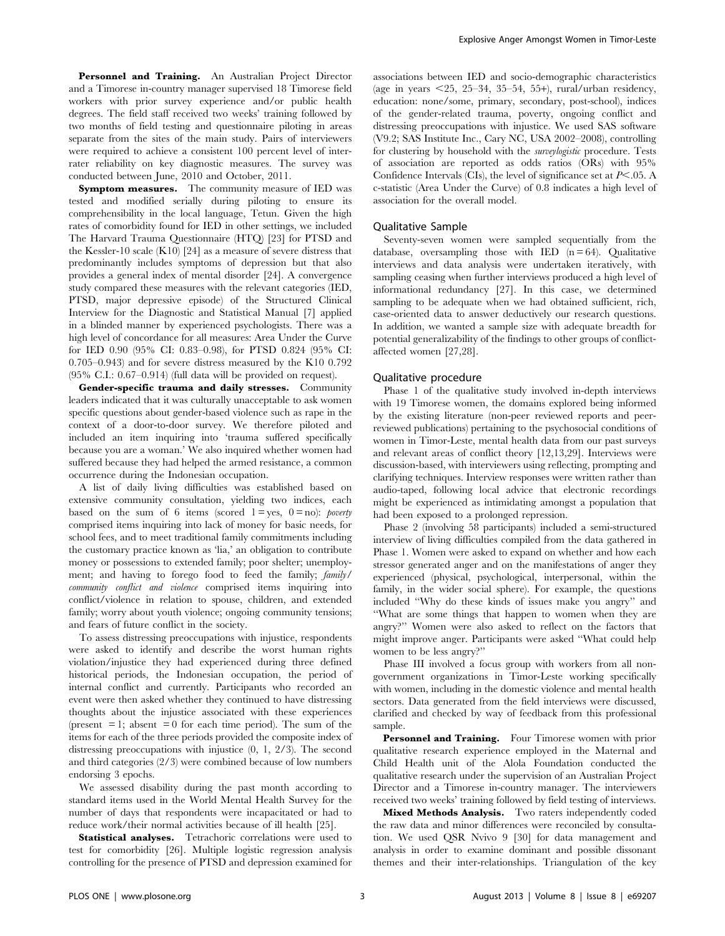Personnel and Training. An Australian Project Director and a Timorese in-country manager supervised 18 Timorese field workers with prior survey experience and/or public health degrees. The field staff received two weeks' training followed by two months of field testing and questionnaire piloting in areas separate from the sites of the main study. Pairs of interviewers were required to achieve a consistent 100 percent level of interrater reliability on key diagnostic measures. The survey was conducted between June, 2010 and October, 2011.

Symptom measures. The community measure of IED was tested and modified serially during piloting to ensure its comprehensibility in the local language, Tetun. Given the high rates of comorbidity found for IED in other settings, we included The Harvard Trauma Questionnaire (HTQ) [23] for PTSD and the Kessler-10 scale (K10) [24] as a measure of severe distress that predominantly includes symptoms of depression but that also provides a general index of mental disorder [24]. A convergence study compared these measures with the relevant categories (IED, PTSD, major depressive episode) of the Structured Clinical Interview for the Diagnostic and Statistical Manual [7] applied in a blinded manner by experienced psychologists. There was a high level of concordance for all measures: Area Under the Curve for IED 0.90 (95% CI: 0.83–0.98), for PTSD 0.824 (95% CI: 0.705–0.943) and for severe distress measured by the K10 0.792 (95% C.I.: 0.67–0.914) (full data will be provided on request).

Gender-specific trauma and daily stresses. Community leaders indicated that it was culturally unacceptable to ask women specific questions about gender-based violence such as rape in the context of a door-to-door survey. We therefore piloted and included an item inquiring into 'trauma suffered specifically because you are a woman.' We also inquired whether women had suffered because they had helped the armed resistance, a common occurrence during the Indonesian occupation.

A list of daily living difficulties was established based on extensive community consultation, yielding two indices, each based on the sum of 6 items (scored  $1 = yes$ ,  $0 = no$ ): poverty comprised items inquiring into lack of money for basic needs, for school fees, and to meet traditional family commitments including the customary practice known as 'lia,' an obligation to contribute money or possessions to extended family; poor shelter; unemployment; and having to forego food to feed the family; family/ community conflict and violence comprised items inquiring into conflict/violence in relation to spouse, children, and extended family; worry about youth violence; ongoing community tensions; and fears of future conflict in the society.

To assess distressing preoccupations with injustice, respondents were asked to identify and describe the worst human rights violation/injustice they had experienced during three defined historical periods, the Indonesian occupation, the period of internal conflict and currently. Participants who recorded an event were then asked whether they continued to have distressing thoughts about the injustice associated with these experiences (present  $= 1$ ; absent  $= 0$  for each time period). The sum of the items for each of the three periods provided the composite index of distressing preoccupations with injustice (0, 1, 2/3). The second and third categories (2/3) were combined because of low numbers endorsing 3 epochs.

We assessed disability during the past month according to standard items used in the World Mental Health Survey for the number of days that respondents were incapacitated or had to reduce work/their normal activities because of ill health [25].

Statistical analyses. Tetrachoric correlations were used to test for comorbidity [26]. Multiple logistic regression analysis controlling for the presence of PTSD and depression examined for associations between IED and socio-demographic characteristics (age in years  $\leq$ 25, 25–34, 35–54, 55+), rural/urban residency, education: none/some, primary, secondary, post-school), indices of the gender-related trauma, poverty, ongoing conflict and distressing preoccupations with injustice. We used SAS software (V9.2; SAS Institute Inc., Cary NC, USA 2002–2008), controlling for clustering by household with the surveylogistic procedure. Tests of association are reported as odds ratios (ORs) with 95% Confidence Intervals (CIs), the level of significance set at  $P<.05$ . A c-statistic (Area Under the Curve) of 0.8 indicates a high level of association for the overall model.

#### Qualitative Sample

Seventy-seven women were sampled sequentially from the database, oversampling those with IED  $(n = 64)$ . Qualitative interviews and data analysis were undertaken iteratively, with sampling ceasing when further interviews produced a high level of informational redundancy [27]. In this case, we determined sampling to be adequate when we had obtained sufficient, rich, case-oriented data to answer deductively our research questions. In addition, we wanted a sample size with adequate breadth for potential generalizability of the findings to other groups of conflictaffected women [27,28].

#### Qualitative procedure

Phase 1 of the qualitative study involved in-depth interviews with 19 Timorese women, the domains explored being informed by the existing literature (non-peer reviewed reports and peerreviewed publications) pertaining to the psychosocial conditions of women in Timor-Leste, mental health data from our past surveys and relevant areas of conflict theory [12,13,29]. Interviews were discussion-based, with interviewers using reflecting, prompting and clarifying techniques. Interview responses were written rather than audio-taped, following local advice that electronic recordings might be experienced as intimidating amongst a population that had been exposed to a prolonged repression.

Phase 2 (involving 58 participants) included a semi-structured interview of living difficulties compiled from the data gathered in Phase 1. Women were asked to expand on whether and how each stressor generated anger and on the manifestations of anger they experienced (physical, psychological, interpersonal, within the family, in the wider social sphere). For example, the questions included ''Why do these kinds of issues make you angry'' and ''What are some things that happen to women when they are angry?'' Women were also asked to reflect on the factors that might improve anger. Participants were asked ''What could help women to be less angry?''

Phase III involved a focus group with workers from all nongovernment organizations in Timor-Leste working specifically with women, including in the domestic violence and mental health sectors. Data generated from the field interviews were discussed, clarified and checked by way of feedback from this professional sample.

Personnel and Training. Four Timorese women with prior qualitative research experience employed in the Maternal and Child Health unit of the Alola Foundation conducted the qualitative research under the supervision of an Australian Project Director and a Timorese in-country manager. The interviewers received two weeks' training followed by field testing of interviews.

**Mixed Methods Analysis.** Two raters independently coded the raw data and minor differences were reconciled by consultation. We used QSR Nvivo 9 [30] for data management and analysis in order to examine dominant and possible dissonant themes and their inter-relationships. Triangulation of the key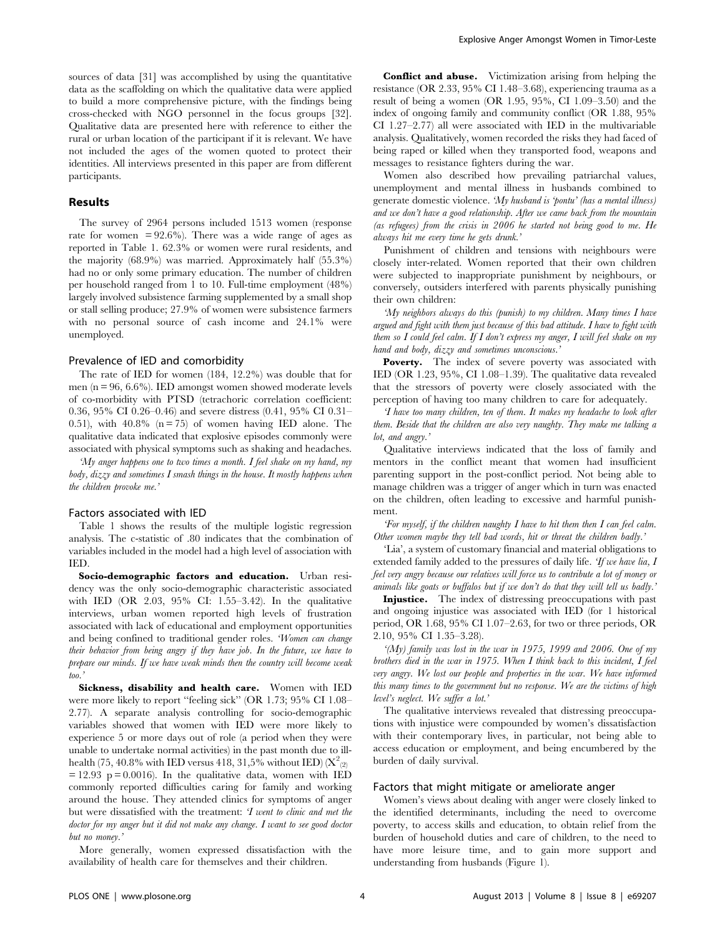sources of data [31] was accomplished by using the quantitative data as the scaffolding on which the qualitative data were applied to build a more comprehensive picture, with the findings being cross-checked with NGO personnel in the focus groups [32]. Qualitative data are presented here with reference to either the rural or urban location of the participant if it is relevant. We have not included the ages of the women quoted to protect their identities. All interviews presented in this paper are from different participants.

#### Results

The survey of 2964 persons included 1513 women (response rate for women  $= 92.6\%$ ). There was a wide range of ages as reported in Table 1. 62.3% or women were rural residents, and the majority (68.9%) was married. Approximately half (55.3%) had no or only some primary education. The number of children per household ranged from 1 to 10. Full-time employment (48%) largely involved subsistence farming supplemented by a small shop or stall selling produce; 27.9% of women were subsistence farmers with no personal source of cash income and 24.1% were unemployed.

#### Prevalence of IED and comorbidity

The rate of IED for women (184, 12.2%) was double that for men (n = 96, 6.6%). IED amongst women showed moderate levels of co-morbidity with PTSD (tetrachoric correlation coefficient: 0.36, 95% CI 0.26–0.46) and severe distress (0.41, 95% CI 0.31– 0.51), with 40.8%  $(n = 75)$  of women having IED alone. The qualitative data indicated that explosive episodes commonly were associated with physical symptoms such as shaking and headaches.

'My anger happens one to two times a month. I feel shake on my hand, my body, dizzy and sometimes  $I$  smash things in the house. It mostly happens when the children provoke me.'

#### Factors associated with IED

Table 1 shows the results of the multiple logistic regression analysis. The c-statistic of .80 indicates that the combination of variables included in the model had a high level of association with IED.

Socio-demographic factors and education. Urban residency was the only socio-demographic characteristic associated with IED (OR 2.03, 95% CI: 1.55–3.42). In the qualitative interviews, urban women reported high levels of frustration associated with lack of educational and employment opportunities and being confined to traditional gender roles. 'Women can change their behavior from being angry if they have job. In the future, we have to prepare our minds. If we have weak minds then the country will become weak too.'

Sickness, disability and health care. Women with IED were more likely to report ''feeling sick'' (OR 1.73; 95% CI 1.08– 2.77). A separate analysis controlling for socio-demographic variables showed that women with IED were more likely to experience 5 or more days out of role (a period when they were unable to undertake normal activities) in the past month due to illhealth (75, 40.8% with IED versus 418, 31,5% without IED) ( $\text{X}^2_{(2)}$  $= 12.93$  p  $= 0.0016$ ). In the qualitative data, women with IED commonly reported difficulties caring for family and working around the house. They attended clinics for symptoms of anger but were dissatisfied with the treatment: 'I went to clinic and met the doctor for my anger but it did not make any change. I want to see good doctor but no money.'

More generally, women expressed dissatisfaction with the availability of health care for themselves and their children.

Conflict and abuse. Victimization arising from helping the resistance (OR 2.33, 95% CI 1.48–3.68), experiencing trauma as a result of being a women (OR 1.95, 95%, CI 1.09–3.50) and the index of ongoing family and community conflict (OR 1.88, 95% CI 1.27–2.77) all were associated with IED in the multivariable analysis. Qualitatively, women recorded the risks they had faced of being raped or killed when they transported food, weapons and messages to resistance fighters during the war.

Women also described how prevailing patriarchal values, unemployment and mental illness in husbands combined to generate domestic violence. 'My husband is 'pontu' (has a mental illness) and we don't have a good relationship. After we came back from the mountain (as refugees) from the crisis in 2006 he started not being good to me. He always hit me every time he gets drunk.'

Punishment of children and tensions with neighbours were closely inter-related. Women reported that their own children were subjected to inappropriate punishment by neighbours, or conversely, outsiders interfered with parents physically punishing their own children:

'My neighbors always do this (punish) to my children. Many times I have argued and fight with them just because of this bad attitude. I have to fight with them so  $I$  could feel calm. If  $I$  don't express my anger,  $I$  will feel shake on my hand and body, dizzy and sometimes unconscious.<sup>3</sup>

Poverty. The index of severe poverty was associated with IED (OR 1.23, 95%, CI 1.08–1.39). The qualitative data revealed that the stressors of poverty were closely associated with the perception of having too many children to care for adequately.

'I have too many children, ten of them. It makes my headache to look after them. Beside that the children are also very naughty. They make me talking a lot, and angry.'

Qualitative interviews indicated that the loss of family and mentors in the conflict meant that women had insufficient parenting support in the post-conflict period. Not being able to manage children was a trigger of anger which in turn was enacted on the children, often leading to excessive and harmful punishment.

'For myself, if the children naughty  $I$  have to hit them then  $I$  can feel calm. Other women maybe they tell bad words, hit or threat the children badly.'

'Lia', a system of customary financial and material obligations to extended family added to the pressures of daily life. 'If we have lia, I feel very angry because our relatives will force us to contribute a lot of money or animals like goats or buffalos but if we don't do that they will tell us badly.'

Injustice. The index of distressing preoccupations with past and ongoing injustice was associated with IED (for 1 historical period, OR 1.68, 95% CI 1.07–2.63, for two or three periods, OR 2.10, 95% CI 1.35–3.28).

 $(My)$  family was lost in the war in 1975, 1999 and 2006. One of my brothers died in the war in 1975. When I think back to this incident, I feel very angry. We lost our people and properties in the war. We have informed this many times to the government but no response. We are the victims of high level's neglect. We suffer a lot.'

The qualitative interviews revealed that distressing preoccupations with injustice were compounded by women's dissatisfaction with their contemporary lives, in particular, not being able to access education or employment, and being encumbered by the burden of daily survival.

## Factors that might mitigate or ameliorate anger

Women's views about dealing with anger were closely linked to the identified determinants, including the need to overcome poverty, to access skills and education, to obtain relief from the burden of household duties and care of children, to the need to have more leisure time, and to gain more support and understanding from husbands (Figure 1).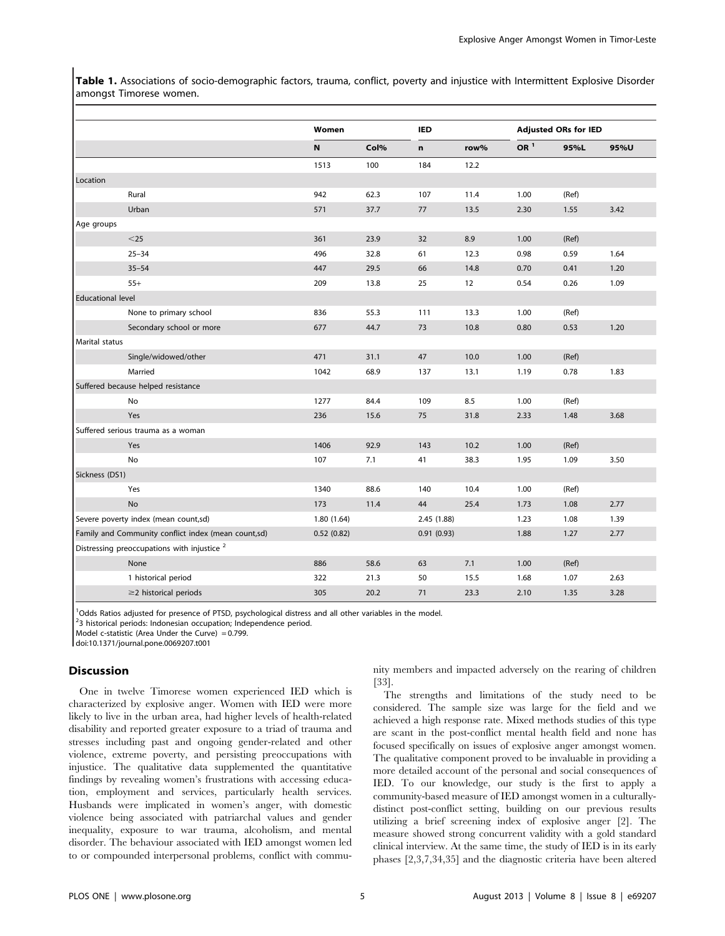Table 1. Associations of socio-demographic factors, trauma, conflict, poverty and injustice with Intermittent Explosive Disorder amongst Timorese women.

|                                                     |                                                        | Women      |      | <b>IED</b>  |      | <b>Adjusted ORs for IED</b> |       |      |
|-----------------------------------------------------|--------------------------------------------------------|------------|------|-------------|------|-----------------------------|-------|------|
|                                                     |                                                        | N          | Col% | $\mathbf n$ | row% | OR <sup>1</sup>             | 95%L  | 95%U |
|                                                     |                                                        | 1513       | 100  | 184         | 12.2 |                             |       |      |
| Location                                            |                                                        |            |      |             |      |                             |       |      |
|                                                     | Rural                                                  | 942        | 62.3 | 107         | 11.4 | 1.00                        | (Ref) |      |
|                                                     | Urban                                                  | 571        | 37.7 | 77          | 13.5 | 2.30                        | 1.55  | 3.42 |
| Age groups                                          |                                                        |            |      |             |      |                             |       |      |
|                                                     | $<$ 25                                                 | 361        | 23.9 | 32          | 8.9  | 1.00                        | (Ref) |      |
|                                                     | $25 - 34$                                              | 496        | 32.8 | 61          | 12.3 | 0.98                        | 0.59  | 1.64 |
|                                                     | $35 - 54$                                              | 447        | 29.5 | 66          | 14.8 | 0.70                        | 0.41  | 1.20 |
|                                                     | $55+$                                                  | 209        | 13.8 | 25          | 12   | 0.54                        | 0.26  | 1.09 |
| <b>Educational level</b>                            |                                                        |            |      |             |      |                             |       |      |
|                                                     | None to primary school                                 | 836        | 55.3 | 111         | 13.3 | 1.00                        | (Ref) |      |
|                                                     | Secondary school or more                               | 677        | 44.7 | 73          | 10.8 | 0.80                        | 0.53  | 1.20 |
| Marital status                                      |                                                        |            |      |             |      |                             |       |      |
|                                                     | Single/widowed/other                                   | 471        | 31.1 | 47          | 10.0 | 1.00                        | (Ref) |      |
|                                                     | Married                                                | 1042       | 68.9 | 137         | 13.1 | 1.19                        | 0.78  | 1.83 |
|                                                     | Suffered because helped resistance                     |            |      |             |      |                             |       |      |
|                                                     | No                                                     | 1277       | 84.4 | 109         | 8.5  | 1.00                        | (Ref) |      |
|                                                     | Yes                                                    | 236        | 15.6 | 75          | 31.8 | 2.33                        | 1.48  | 3.68 |
|                                                     | Suffered serious trauma as a woman                     |            |      |             |      |                             |       |      |
|                                                     | Yes                                                    | 1406       | 92.9 | 143         | 10.2 | 1.00                        | (Ref) |      |
|                                                     | No                                                     | 107        | 7.1  | 41          | 38.3 | 1.95                        | 1.09  | 3.50 |
| Sickness (DS1)                                      |                                                        |            |      |             |      |                             |       |      |
|                                                     | Yes                                                    | 1340       | 88.6 | 140         | 10.4 | 1.00                        | (Ref) |      |
|                                                     | No                                                     | 173        | 11.4 | 44          | 25.4 | 1.73                        | 1.08  | 2.77 |
| Severe poverty index (mean count,sd)                |                                                        | 1.80(1.64) |      | 2.45 (1.88) |      | 1.23                        | 1.08  | 1.39 |
| Family and Community conflict index (mean count,sd) |                                                        | 0.52(0.82) |      | 0.91(0.93)  |      | 1.88                        | 1.27  | 2.77 |
|                                                     | Distressing preoccupations with injustice <sup>2</sup> |            |      |             |      |                             |       |      |
|                                                     | None                                                   | 886        | 58.6 | 63          | 7.1  | 1.00                        | (Ref) |      |
|                                                     | 1 historical period                                    | 322        | 21.3 | 50          | 15.5 | 1.68                        | 1.07  | 2.63 |
|                                                     | $\geq$ 2 historical periods                            | 305        | 20.2 | 71          | 23.3 | 2.10                        | 1.35  | 3.28 |

<sup>1</sup>Odds Ratios adjusted for presence of PTSD, psychological distress and all other variables in the model.

<sup>2</sup>3 historical periods: Indonesian occupation; Independence period.

Model c-statistic (Area Under the Curve) = 0.799.

doi:10.1371/journal.pone.0069207.t001

## Discussion

One in twelve Timorese women experienced IED which is characterized by explosive anger. Women with IED were more likely to live in the urban area, had higher levels of health-related disability and reported greater exposure to a triad of trauma and stresses including past and ongoing gender-related and other violence, extreme poverty, and persisting preoccupations with injustice. The qualitative data supplemented the quantitative findings by revealing women's frustrations with accessing education, employment and services, particularly health services. Husbands were implicated in women's anger, with domestic violence being associated with patriarchal values and gender inequality, exposure to war trauma, alcoholism, and mental disorder. The behaviour associated with IED amongst women led to or compounded interpersonal problems, conflict with community members and impacted adversely on the rearing of children [33].

The strengths and limitations of the study need to be considered. The sample size was large for the field and we achieved a high response rate. Mixed methods studies of this type are scant in the post-conflict mental health field and none has focused specifically on issues of explosive anger amongst women. The qualitative component proved to be invaluable in providing a more detailed account of the personal and social consequences of IED. To our knowledge, our study is the first to apply a community-based measure of IED amongst women in a culturallydistinct post-conflict setting, building on our previous results utilizing a brief screening index of explosive anger [2]. The measure showed strong concurrent validity with a gold standard clinical interview. At the same time, the study of IED is in its early phases [2,3,7,34,35] and the diagnostic criteria have been altered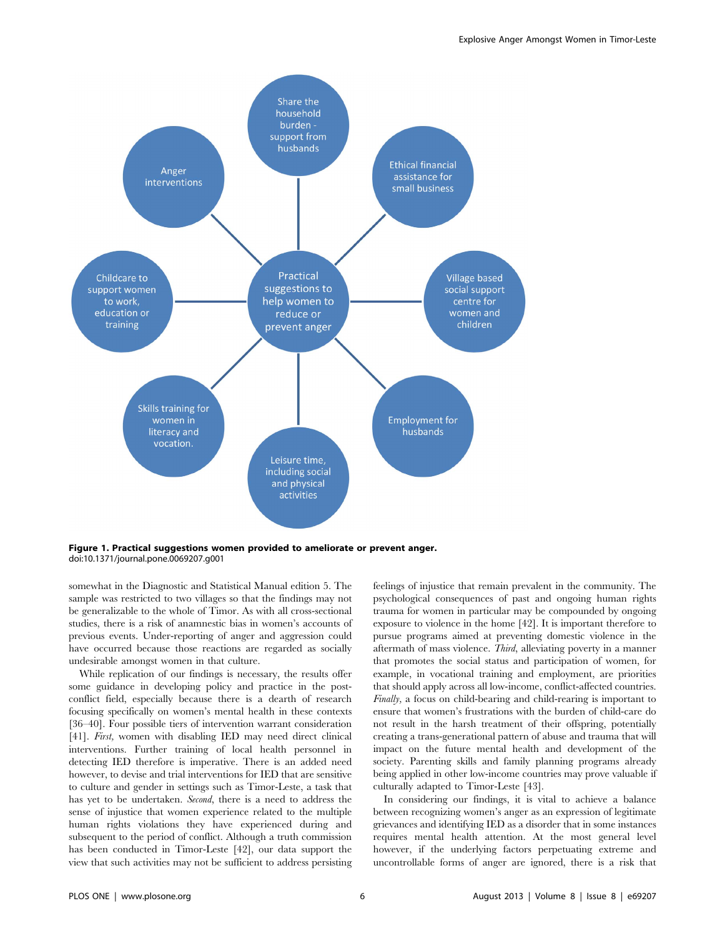

Figure 1. Practical suggestions women provided to ameliorate or prevent anger. doi:10.1371/journal.pone.0069207.g001

somewhat in the Diagnostic and Statistical Manual edition 5. The sample was restricted to two villages so that the findings may not be generalizable to the whole of Timor. As with all cross-sectional studies, there is a risk of anamnestic bias in women's accounts of previous events. Under-reporting of anger and aggression could have occurred because those reactions are regarded as socially undesirable amongst women in that culture.

While replication of our findings is necessary, the results offer some guidance in developing policy and practice in the postconflict field, especially because there is a dearth of research focusing specifically on women's mental health in these contexts [36–40]. Four possible tiers of intervention warrant consideration [41]. First, women with disabling IED may need direct clinical interventions. Further training of local health personnel in detecting IED therefore is imperative. There is an added need however, to devise and trial interventions for IED that are sensitive to culture and gender in settings such as Timor-Leste, a task that has yet to be undertaken. Second, there is a need to address the sense of injustice that women experience related to the multiple human rights violations they have experienced during and subsequent to the period of conflict. Although a truth commission has been conducted in Timor-Leste [42], our data support the view that such activities may not be sufficient to address persisting feelings of injustice that remain prevalent in the community. The psychological consequences of past and ongoing human rights trauma for women in particular may be compounded by ongoing exposure to violence in the home [42]. It is important therefore to pursue programs aimed at preventing domestic violence in the aftermath of mass violence. Third, alleviating poverty in a manner that promotes the social status and participation of women, for example, in vocational training and employment, are priorities that should apply across all low-income, conflict-affected countries. Finally, a focus on child-bearing and child-rearing is important to ensure that women's frustrations with the burden of child-care do not result in the harsh treatment of their offspring, potentially creating a trans-generational pattern of abuse and trauma that will impact on the future mental health and development of the society. Parenting skills and family planning programs already being applied in other low-income countries may prove valuable if culturally adapted to Timor-Leste [43].

In considering our findings, it is vital to achieve a balance between recognizing women's anger as an expression of legitimate grievances and identifying IED as a disorder that in some instances requires mental health attention. At the most general level however, if the underlying factors perpetuating extreme and uncontrollable forms of anger are ignored, there is a risk that